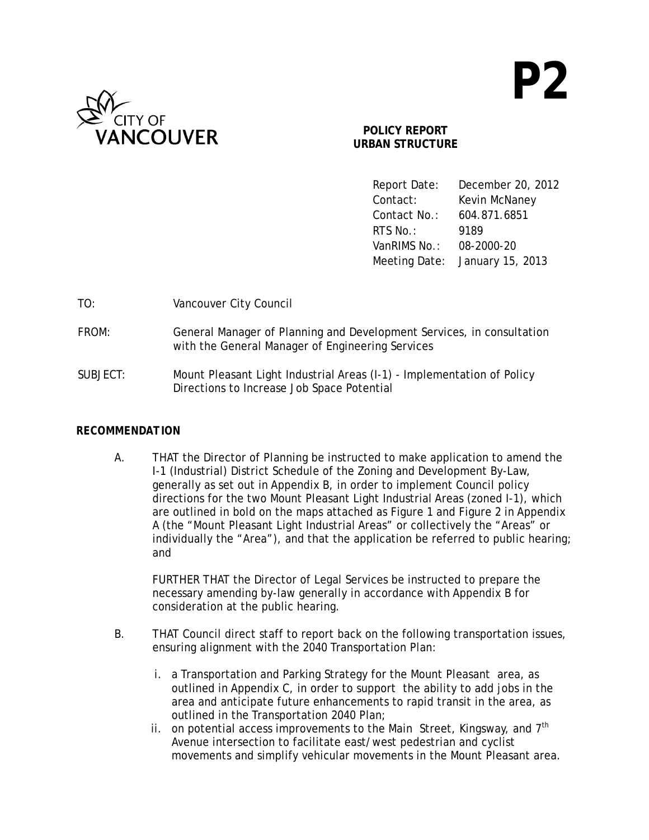

# **POLICY REPORT URBAN STRUCTURE**

 Report Date: December 20, 2012 Contact: Kevin McNaney Contact No.: 604.871.6851 **RTS No.:** 9189 VanRIMS No.: 08-2000-20 Meeting Date: January 15, 2013

| TO:      | Vancouver City Council                                                                                                    |
|----------|---------------------------------------------------------------------------------------------------------------------------|
| FROM:    | General Manager of Planning and Development Services, in consultation<br>with the General Manager of Engineering Services |
| SUBJECT: | Mount Pleasant Light Industrial Areas (I-1) - Implementation of Policy<br>Directions to Increase Job Space Potential      |

# *RECOMMENDATION*

A. THAT the Director of Planning be instructed to make application to amend the I-1 (Industrial) District Schedule of the Zoning and Development By-Law, generally as set out in Appendix B, in order to implement Council policy directions for the two Mount Pleasant Light Industrial Areas (zoned I-1), which are outlined in bold on the maps attached as Figure 1 and Figure 2 in Appendix A (the "Mount Pleasant Light Industrial Areas" or collectively the "Areas" or individually the "Area"), and that the application be referred to public hearing; and

 FURTHER THAT the Director of Legal Services be instructed to prepare the necessary amending by-law generally in accordance with Appendix B for consideration at the public hearing.

- B. THAT Council direct staff to report back on the following transportation issues, ensuring alignment with the 2040 Transportation Plan:
	- i. a Transportation and Parking Strategy for the Mount Pleasant area, as outlined in Appendix C, in order to support the ability to add jobs in the area and anticipate future enhancements to rapid transit in the area, as outlined in the Transportation 2040 Plan;
	- ii. on potential access improvements to the Main Street, Kingsway, and  $7<sup>th</sup>$ Avenue intersection to facilitate east/west pedestrian and cyclist movements and simplify vehicular movements in the Mount Pleasant area.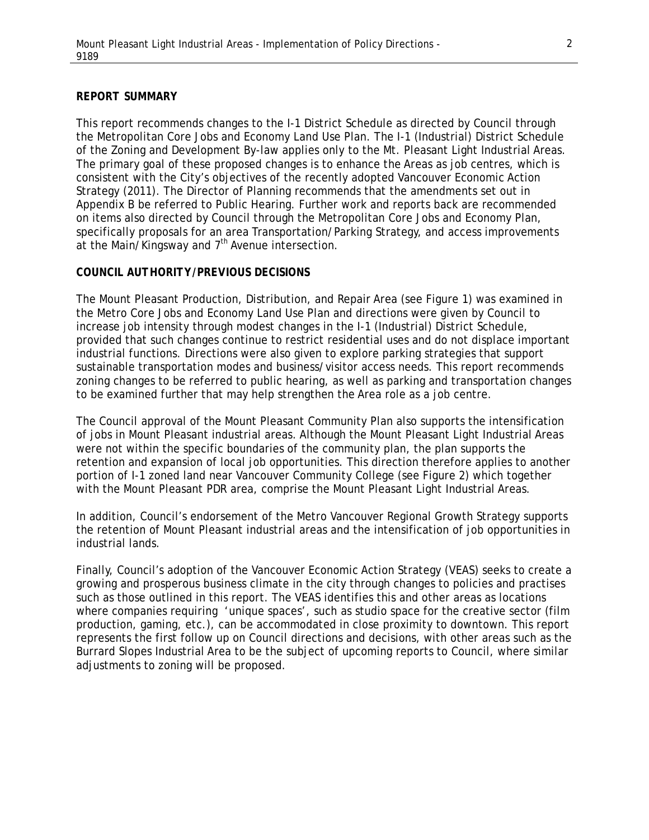#### *REPORT SUMMARY*

This report recommends changes to the I-1 District Schedule as directed by Council through the Metropolitan Core Jobs and Economy Land Use Plan. The I-1 (Industrial) District Schedule of the Zoning and Development By-law applies only to the Mt. Pleasant Light Industrial Areas. The primary goal of these proposed changes is to enhance the Areas as job centres, which is consistent with the City's objectives of the recently adopted Vancouver Economic Action Strategy (2011). The Director of Planning recommends that the amendments set out in Appendix B be referred to Public Hearing. Further work and reports back are recommended on items also directed by Council through the Metropolitan Core Jobs and Economy Plan, specifically proposals for an area Transportation/Parking Strategy, and access improvements at the Main/Kingsway and  $7<sup>th</sup>$  Avenue intersection.

#### *COUNCIL AUTHORITY/PREVIOUS DECISIONS*

The Mount Pleasant Production, Distribution, and Repair Area (see Figure 1) was examined in the Metro Core Jobs and Economy Land Use Plan and directions were given by Council to increase job intensity through modest changes in the I-1 (Industrial) District Schedule, provided that such changes continue to restrict residential uses and do not displace important industrial functions. Directions were also given to explore parking strategies that support sustainable transportation modes and business/visitor access needs. This report recommends zoning changes to be referred to public hearing, as well as parking and transportation changes to be examined further that may help strengthen the Area role as a job centre.

The Council approval of the Mount Pleasant Community Plan also supports the intensification of jobs in Mount Pleasant industrial areas. Although the Mount Pleasant Light Industrial Areas were not within the specific boundaries of the community plan, the plan supports the retention and expansion of local job opportunities. This direction therefore applies to another portion of I-1 zoned land near Vancouver Community College (see Figure 2) which together with the Mount Pleasant PDR area, comprise the Mount Pleasant Light Industrial Areas.

In addition, Council's endorsement of the Metro Vancouver Regional Growth Strategy supports the retention of Mount Pleasant industrial areas and the intensification of job opportunities in industrial lands.

Finally, Council's adoption of the Vancouver Economic Action Strategy (VEAS) seeks to create a growing and prosperous business climate in the city through changes to policies and practises such as those outlined in this report. The VEAS identifies this and other areas as locations where companies requiring 'unique spaces', such as studio space for the creative sector (film production, gaming, etc.), can be accommodated in close proximity to downtown. This report represents the first follow up on Council directions and decisions, with other areas such as the Burrard Slopes Industrial Area to be the subject of upcoming reports to Council, where similar adjustments to zoning will be proposed.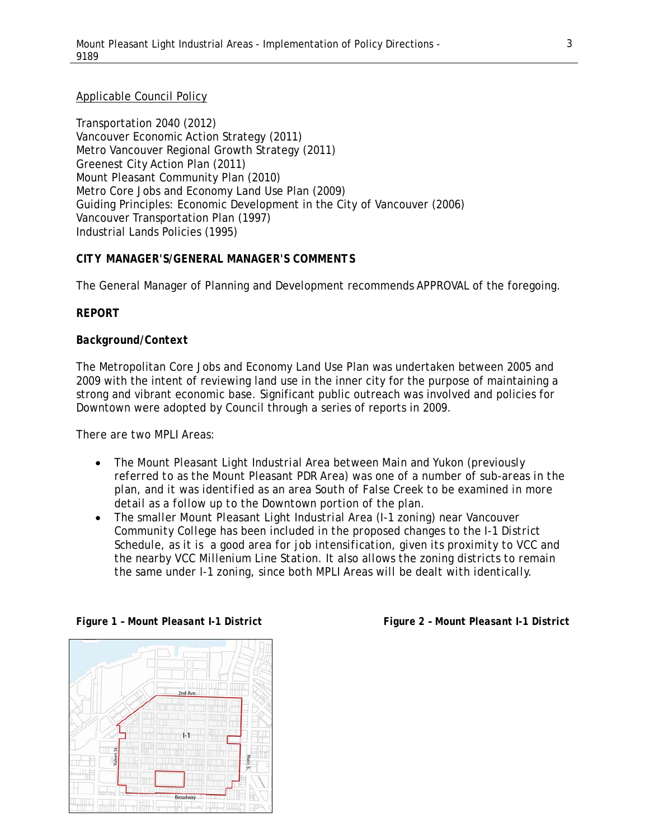#### Applicable Council Policy

Transportation 2040 (2012) Vancouver Economic Action Strategy (2011) Metro Vancouver Regional Growth Strategy (2011) Greenest City Action Plan (2011) Mount Pleasant Community Plan (2010) Metro Core Jobs and Economy Land Use Plan (2009) Guiding Principles: Economic Development in the City of Vancouver (2006) Vancouver Transportation Plan (1997) Industrial Lands Policies (1995)

#### *CITY MANAGER'S/GENERAL MANAGER'S COMMENTS*

The General Manager of Planning and Development recommends APPROVAL of the foregoing.

#### *REPORT*

#### *Background/Context*

The Metropolitan Core Jobs and Economy Land Use Plan was undertaken between 2005 and 2009 with the intent of reviewing land use in the inner city for the purpose of maintaining a strong and vibrant economic base. Significant public outreach was involved and policies for Downtown were adopted by Council through a series of reports in 2009.

#### *There are two MPLI Areas:*

- *The Mount Pleasant Light Industrial Area between Main and Yukon (previously referred to as the Mount Pleasant PDR Area) was one of a number of sub-areas in the plan, and it was identified as an area South of False Creek to be examined in more detail as a follow up to the Downtown portion of the plan.*
- *The smaller Mount Pleasant Light Industrial Area (I-1 zoning) near Vancouver Community College has been included in the proposed changes to the I-1 District Schedule, as it is a good area for job intensification, given its proximity to VCC and the nearby VCC Millenium Line Station. It also allows the zoning districts to remain the same under I-1 zoning, since both MPLI Areas will be dealt with identically.*



*Figure 1 – Mount Pleasant I-1 District Figure 2 – Mount Pleasant I-1 District*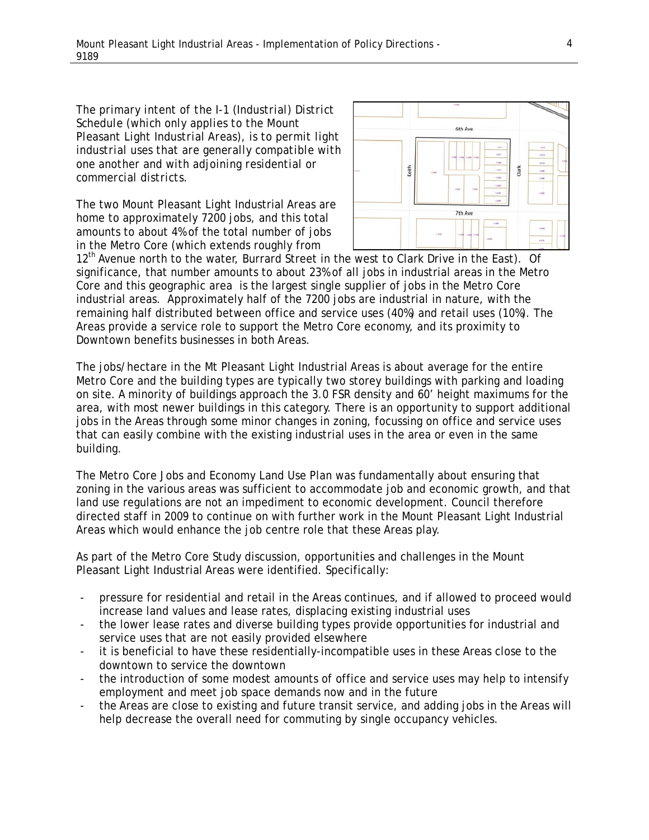*The primary intent of the I-1 (Industrial) District Schedule (which only applies to the Mount Pleasant Light Industrial Areas), is to permit light industrial uses that are generally compatible with one another and with adjoining residential or commercial districts.* 

The two Mount Pleasant Light Industrial Areas are home to approximately 7200 jobs, and this total amounts to about 4% of the total number of jobs in the Metro Core (which extends roughly from



12<sup>th</sup> Avenue north to the water, Burrard Street in the west to Clark Drive in the East). Of significance, that number amounts to about 23% of all jobs in industrial areas in the Metro Core and this geographic area is the largest single supplier of jobs in the Metro Core industrial areas. Approximately half of the 7200 jobs are industrial in nature, with the remaining half distributed between office and service uses (40%) and retail uses (10%). The Areas provide a service role to support the Metro Core economy, and its proximity to Downtown benefits businesses in both Areas.

The jobs/hectare in the Mt Pleasant Light Industrial Areas is about average for the entire Metro Core and the building types are typically two storey buildings with parking and loading on site. A minority of buildings approach the 3.0 FSR density and 60' height maximums for the area, with most newer buildings in this category. There is an opportunity to support additional jobs in the Areas through some minor changes in zoning, focussing on office and service uses that can easily combine with the existing industrial uses in the area or even in the same building.

The Metro Core Jobs and Economy Land Use Plan was fundamentally about ensuring that zoning in the various areas was sufficient to accommodate job and economic growth, and that land use regulations are not an impediment to economic development. Council therefore directed staff in 2009 to continue on with further work in the Mount Pleasant Light Industrial Areas which would enhance the job centre role that these Areas play.

As part of the Metro Core Study discussion, opportunities and challenges in the Mount Pleasant Light Industrial Areas were identified. Specifically:

- pressure for residential and retail in the Areas continues, and if allowed to proceed would increase land values and lease rates, displacing existing industrial uses
- the lower lease rates and diverse building types provide opportunities for industrial and service uses that are not easily provided elsewhere
- it is beneficial to have these residentially-incompatible uses in these Areas close to the downtown to service the downtown
- the introduction of some modest amounts of office and service uses may help to intensify employment and meet job space demands now and in the future
- the Areas are close to existing and future transit service, and adding jobs in the Areas will help decrease the overall need for commuting by single occupancy vehicles.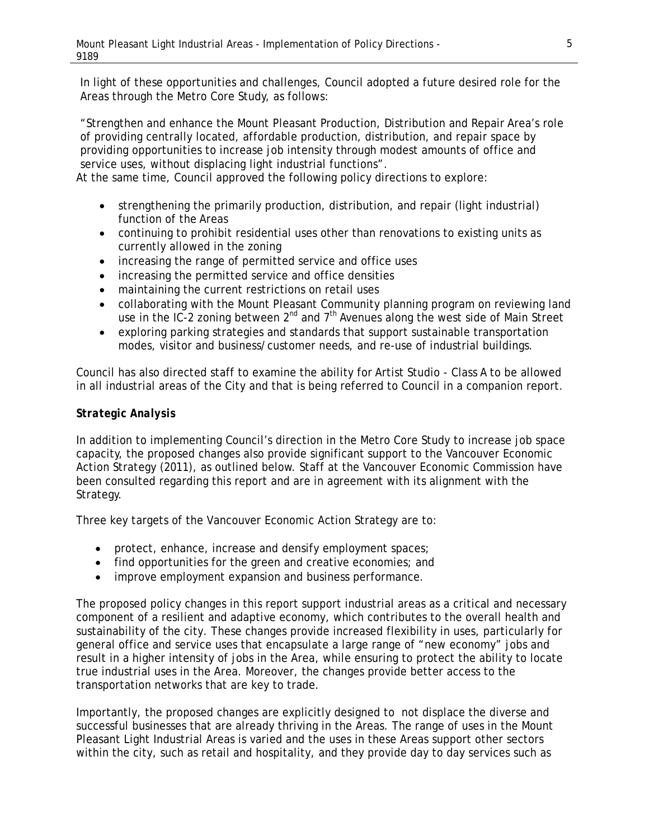In light of these opportunities and challenges, Council adopted a future desired role for the Areas through the Metro Core Study, as follows:

"Strengthen and enhance the Mount Pleasant Production, Distribution and Repair Area's role of providing centrally located, affordable production, distribution, and repair space by providing opportunities to increase job intensity through modest amounts of office and service uses, without displacing light industrial functions".

At the same time, Council approved the following policy directions to explore:

- strengthening the primarily production, distribution, and repair (light industrial) function of the Areas
- continuing to prohibit residential uses other than renovations to existing units as currently allowed in the zoning
- increasing the range of permitted service and office uses
- increasing the permitted service and office densities
- maintaining the current restrictions on retail uses
- collaborating with the Mount Pleasant Community planning program on reviewing land use in the IC-2 zoning between 2<sup>nd</sup> and 7<sup>th</sup> Avenues along the west side of Main Street
- exploring parking strategies and standards that support sustainable transportation modes, visitor and business/customer needs, and re-use of industrial buildings.

Council has also directed staff to examine the ability for Artist Studio - Class A to be allowed in all industrial areas of the City and that is being referred to Council in a companion report.

# *Strategic Analysis*

In addition to implementing Council's direction in the Metro Core Study to increase job space capacity, the proposed changes also provide significant support to the Vancouver Economic Action Strategy (2011), as outlined below. Staff at the Vancouver Economic Commission have been consulted regarding this report and are in agreement with its alignment with the Strategy.

Three key targets of the Vancouver Economic Action Strategy are to:

- protect, enhance, increase and densify employment spaces;
- find opportunities for the green and creative economies; and
- improve employment expansion and business performance.

The proposed policy changes in this report support industrial areas as a critical and necessary component of a resilient and adaptive economy, which contributes to the overall health and sustainability of the city. These changes provide increased flexibility in uses, particularly for general office and service uses that encapsulate a large range of "new economy" jobs and result in a higher intensity of jobs in the Area, while ensuring to protect the ability to locate true industrial uses in the Area. Moreover, the changes provide better access to the transportation networks that are key to trade.

Importantly, the proposed changes are explicitly designed to not displace the diverse and successful businesses that are already thriving in the Areas. The range of uses in the Mount Pleasant Light Industrial Areas is varied and the uses in these Areas support other sectors within the city, such as retail and hospitality, and they provide day to day services such as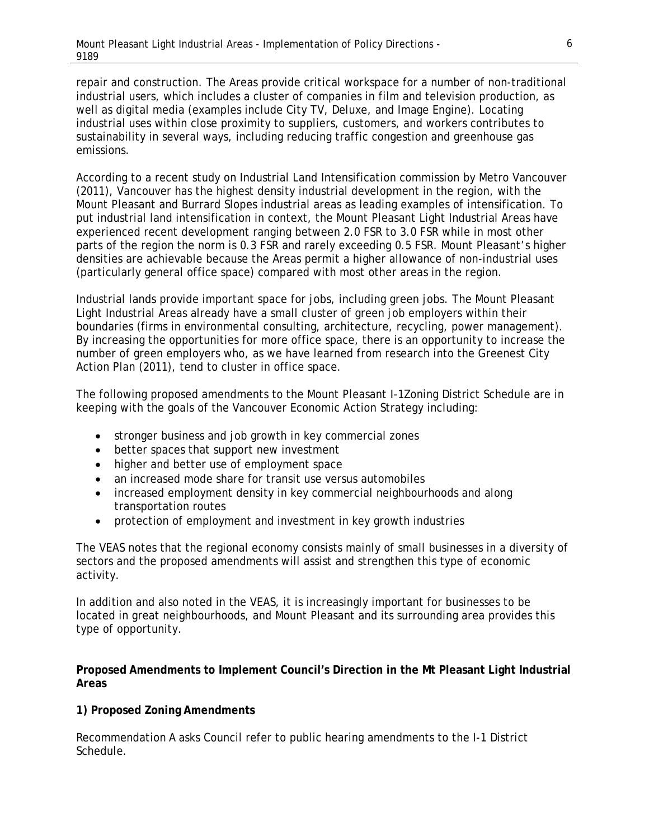repair and construction. The Areas provide critical workspace for a number of non-traditional industrial users, which includes a cluster of companies in film and television production, as well as digital media (examples include City TV, Deluxe, and Image Engine). Locating industrial uses within close proximity to suppliers, customers, and workers contributes to sustainability in several ways, including reducing traffic congestion and greenhouse gas emissions.

According to a recent study on Industrial Land Intensification commission by Metro Vancouver (2011), Vancouver has the highest density industrial development in the region, with the Mount Pleasant and Burrard Slopes industrial areas as leading examples of intensification. To put industrial land intensification in context, the Mount Pleasant Light Industrial Areas have experienced recent development ranging between 2.0 FSR to 3.0 FSR while in most other parts of the region the norm is 0.3 FSR and rarely exceeding 0.5 FSR. Mount Pleasant's higher densities are achievable because the Areas permit a higher allowance of non-industrial uses (particularly general office space) compared with most other areas in the region.

Industrial lands provide important space for jobs, including green jobs. The Mount Pleasant Light Industrial Areas already have a small cluster of green job employers within their boundaries (firms in environmental consulting, architecture, recycling, power management). By increasing the opportunities for more office space, there is an opportunity to increase the number of green employers who, as we have learned from research into the Greenest City Action Plan (2011), tend to cluster in office space.

The following proposed amendments to the Mount Pleasant I-1Zoning District Schedule are in keeping with the goals of the Vancouver Economic Action Strategy including:

- stronger business and job growth in key commercial zones
- better spaces that support new investment
- higher and better use of employment space
- an increased mode share for transit use versus automobiles
- increased employment density in key commercial neighbourhoods and along transportation routes
- protection of employment and investment in key growth industries

The VEAS notes that the regional economy consists mainly of small businesses in a diversity of sectors and the proposed amendments will assist and strengthen this type of economic activity.

In addition and also noted in the VEAS, it is increasingly important for businesses to be located in great neighbourhoods, and Mount Pleasant and its surrounding area provides this type of opportunity.

**Proposed Amendments to Implement Council's Direction in the Mt Pleasant Light Industrial Areas** 

#### **1) Proposed Zoning Amendments**

Recommendation A asks Council refer to public hearing amendments to the I-1 District Schedule.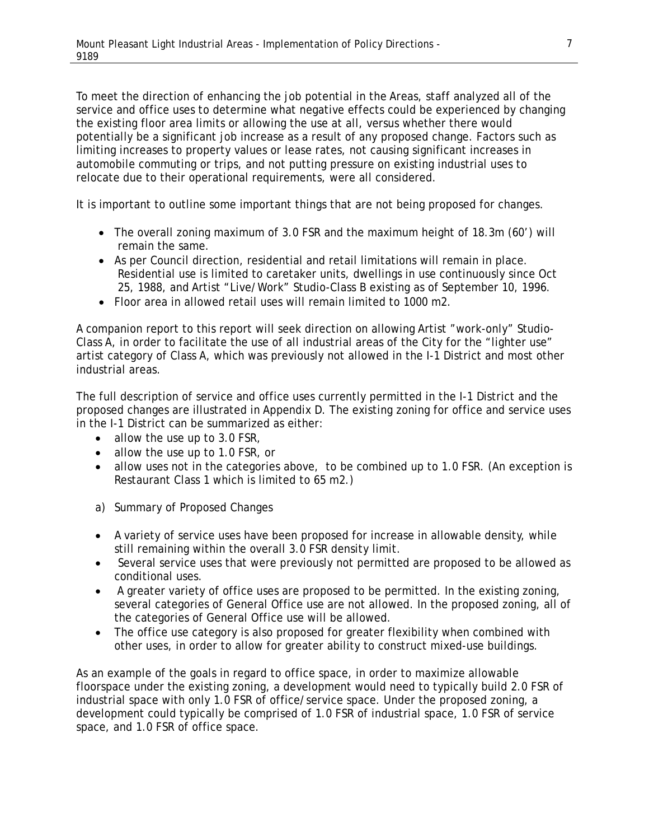To meet the direction of enhancing the job potential in the Areas, staff analyzed all of the service and office uses to determine what negative effects could be experienced by changing the existing floor area limits or allowing the use at all, versus whether there would potentially be a significant job increase as a result of any proposed change. Factors such as limiting increases to property values or lease rates, not causing significant increases in automobile commuting or trips, and not putting pressure on existing industrial uses to relocate due to their operational requirements, were all considered.

It is important to outline some important things that are not being proposed for changes.

- The overall zoning maximum of 3.0 FSR and the maximum height of 18.3m (60') will remain the same.
- As per Council direction, residential and retail limitations will remain in place. Residential use is limited to caretaker units, dwellings in use continuously since Oct 25, 1988, and Artist "Live/Work" Studio-Class B existing as of September 10, 1996.
- Floor area in allowed retail uses will remain limited to 1000 m2.

A companion report to this report will seek direction on allowing Artist "work-only" Studio-Class A, in order to facilitate the use of all industrial areas of the City for the "lighter use" artist category of Class A, which was previously not allowed in the I-1 District and most other industrial areas.

The full description of service and office uses currently permitted in the I-1 District and the proposed changes are illustrated in Appendix D. The existing zoning for office and service uses in the I-1 District can be summarized as either:

- allow the use up to 3.0 FSR,
- allow the use up to 1.0 FSR, or
- allow uses not in the categories above, to be combined up to 1.0 FSR. (An exception is Restaurant Class 1 which is limited to 65 m2.)
- a) Summary of Proposed Changes
- A variety of service uses have been proposed for increase in allowable density, while still remaining within the overall 3.0 FSR density limit.
- Several service uses that were previously not permitted are proposed to be allowed as conditional uses.
- A greater variety of office uses are proposed to be permitted. In the existing zoning, several categories of General Office use are not allowed. In the proposed zoning, all of the categories of General Office use will be allowed.
- The office use category is also proposed for greater flexibility when combined with other uses, in order to allow for greater ability to construct mixed-use buildings.

As an example of the goals in regard to office space, in order to maximize allowable floorspace under the existing zoning, a development would need to typically build 2.0 FSR of industrial space with only 1.0 FSR of office/service space. Under the proposed zoning, a development could typically be comprised of 1.0 FSR of industrial space, 1.0 FSR of service space, and 1.0 FSR of office space.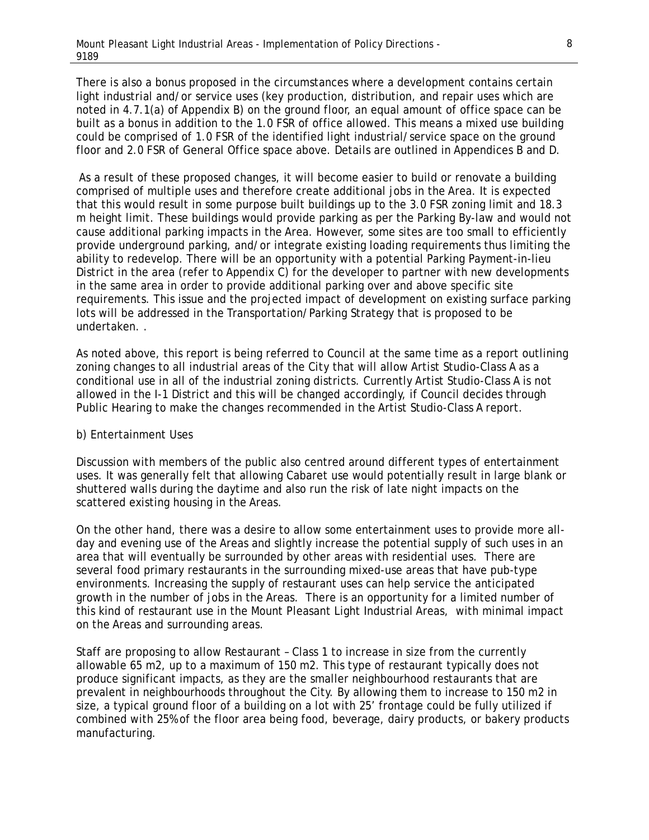There is also a bonus proposed in the circumstances where a development contains certain light industrial and/or service uses (key production, distribution, and repair uses which are noted in 4.7.1(a) of Appendix B) on the ground floor, an equal amount of office space can be built as a bonus in addition to the 1.0 FSR of office allowed. This means a mixed use building could be comprised of 1.0 FSR of the identified light industrial/service space on the ground floor and 2.0 FSR of General Office space above. Details are outlined in Appendices B and D.

 As a result of these proposed changes, it will become easier to build or renovate a building comprised of multiple uses and therefore create additional jobs in the Area. It is expected that this would result in some purpose built buildings up to the 3.0 FSR zoning limit and 18.3 m height limit. These buildings would provide parking as per the Parking By-law and would not cause additional parking impacts in the Area. However, some sites are too small to efficiently provide underground parking, and/or integrate existing loading requirements thus limiting the ability to redevelop. There will be an opportunity with a potential Parking Payment-in-lieu District in the area (refer to Appendix C) for the developer to partner with new developments in the same area in order to provide additional parking over and above specific site requirements. This issue and the projected impact of development on existing surface parking lots will be addressed in the Transportation/Parking Strategy that is proposed to be undertaken. .

As noted above, this report is being referred to Council at the same time as a report outlining zoning changes to all industrial areas of the City that will allow Artist Studio-Class A as a conditional use in all of the industrial zoning districts. Currently Artist Studio-Class A is not allowed in the I-1 District and this will be changed accordingly, if Council decides through Public Hearing to make the changes recommended in the Artist Studio-Class A report.

#### b) Entertainment Uses

Discussion with members of the public also centred around different types of entertainment uses. It was generally felt that allowing Cabaret use would potentially result in large blank or shuttered walls during the daytime and also run the risk of late night impacts on the scattered existing housing in the Areas.

On the other hand, there was a desire to allow some entertainment uses to provide more allday and evening use of the Areas and slightly increase the potential supply of such uses in an area that will eventually be surrounded by other areas with residential uses. There are several food primary restaurants in the surrounding mixed-use areas that have pub-type environments. Increasing the supply of restaurant uses can help service the anticipated growth in the number of jobs in the Areas. There is an opportunity for a limited number of this kind of restaurant use in the Mount Pleasant Light Industrial Areas, with minimal impact on the Areas and surrounding areas.

Staff are proposing to allow Restaurant – Class 1 to increase in size from the currently allowable 65 m2, up to a maximum of 150 m2. This type of restaurant typically does not produce significant impacts, as they are the smaller neighbourhood restaurants that are prevalent in neighbourhoods throughout the City. By allowing them to increase to 150 m2 in size, a typical ground floor of a building on a lot with 25' frontage could be fully utilized if combined with 25% of the floor area being food, beverage, dairy products, or bakery products manufacturing.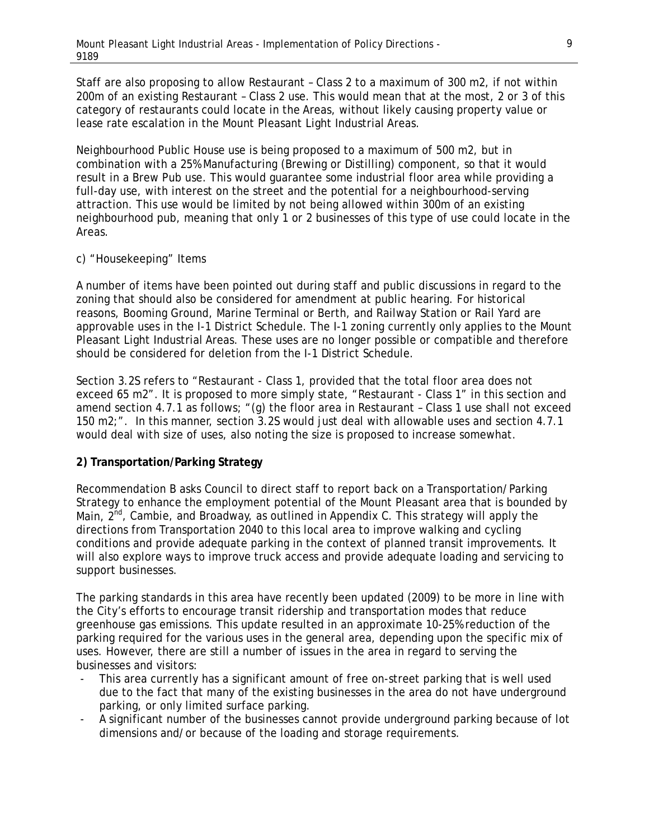Staff are also proposing to allow Restaurant – Class 2 to a maximum of 300 m2, if not within 200m of an existing Restaurant – Class 2 use. This would mean that at the most, 2 or 3 of this category of restaurants could locate in the Areas, without likely causing property value or lease rate escalation in the Mount Pleasant Light Industrial Areas.

Neighbourhood Public House use is being proposed to a maximum of 500 m2, but in combination with a 25% Manufacturing (Brewing or Distilling) component, so that it would result in a Brew Pub use. This would guarantee some industrial floor area while providing a full-day use, with interest on the street and the potential for a neighbourhood-serving attraction. This use would be limited by not being allowed within 300m of an existing neighbourhood pub, meaning that only 1 or 2 businesses of this type of use could locate in the Areas.

#### c) "Housekeeping" Items

A number of items have been pointed out during staff and public discussions in regard to the zoning that should also be considered for amendment at public hearing. For historical reasons, Booming Ground, Marine Terminal or Berth, and Railway Station or Rail Yard are approvable uses in the I-1 District Schedule. The I-1 zoning currently only applies to the Mount Pleasant Light Industrial Areas. These uses are no longer possible or compatible and therefore should be considered for deletion from the I-1 District Schedule.

Section 3.2S refers to "Restaurant - Class 1, provided that the total floor area does not exceed 65 m2". It is proposed to more simply state, "Restaurant - Class 1" in this section and amend section 4.7.1 as follows; "(g) the floor area in Restaurant – Class 1 use shall not exceed 150 m2;". In this manner, section 3.2S would just deal with allowable uses and section 4.7.1 would deal with size of uses, also noting the size is proposed to increase somewhat.

#### **2) Transportation/Parking Strategy**

Recommendation B asks Council to direct staff to report back on a Transportation/Parking Strategy to enhance the employment potential of the Mount Pleasant area that is bounded by Main,  $2^{nd}$ , Cambie, and Broadway, as outlined in Appendix C. This strategy will apply the directions from Transportation 2040 to this local area to improve walking and cycling conditions and provide adequate parking in the context of planned transit improvements. It will also explore ways to improve truck access and provide adequate loading and servicing to support businesses.

The parking standards in this area have recently been updated (2009) to be more in line with the City's efforts to encourage transit ridership and transportation modes that reduce greenhouse gas emissions. This update resulted in an approximate 10-25% reduction of the parking required for the various uses in the general area, depending upon the specific mix of uses. However, there are still a number of issues in the area in regard to serving the businesses and visitors:

- This area currently has a significant amount of free on-street parking that is well used due to the fact that many of the existing businesses in the area do not have underground parking, or only limited surface parking.
- A significant number of the businesses cannot provide underground parking because of lot dimensions and/or because of the loading and storage requirements.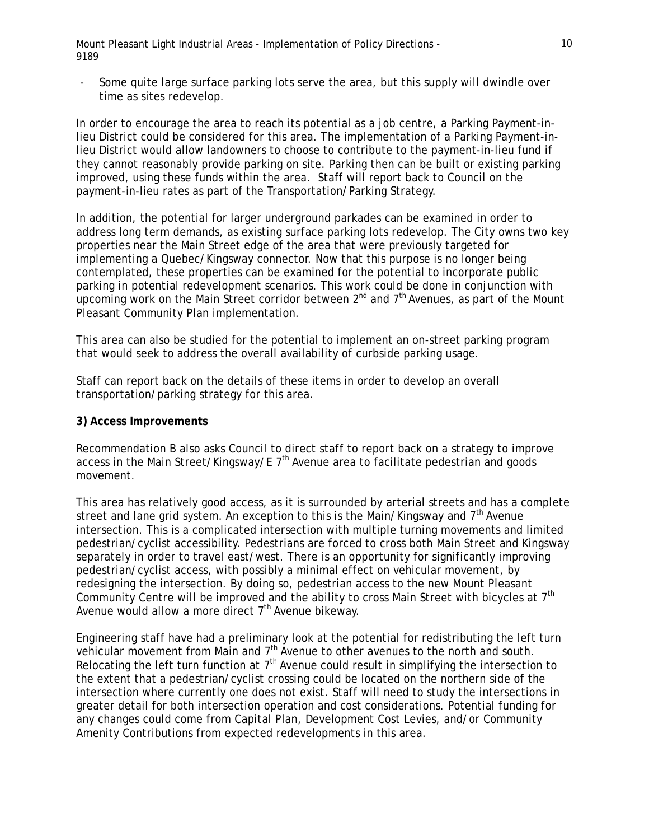- Some quite large surface parking lots serve the area, but this supply will dwindle over time as sites redevelop.

In order to encourage the area to reach its potential as a job centre, a Parking Payment-inlieu District could be considered for this area. The implementation of a Parking Payment-inlieu District would allow landowners to choose to contribute to the payment-in-lieu fund if they cannot reasonably provide parking on site. Parking then can be built or existing parking improved, using these funds within the area. Staff will report back to Council on the payment-in-lieu rates as part of the Transportation/Parking Strategy.

In addition, the potential for larger underground parkades can be examined in order to address long term demands, as existing surface parking lots redevelop. The City owns two key properties near the Main Street edge of the area that were previously targeted for implementing a Quebec/Kingsway connector. Now that this purpose is no longer being contemplated, these properties can be examined for the potential to incorporate public parking in potential redevelopment scenarios. This work could be done in conjunction with upcoming work on the Main Street corridor between  $2^{nd}$  and  $7^{th}$  Avenues, as part of the Mount Pleasant Community Plan implementation.

This area can also be studied for the potential to implement an on-street parking program that would seek to address the overall availability of curbside parking usage.

Staff can report back on the details of these items in order to develop an overall transportation/parking strategy for this area.

#### **3) Access Improvements**

Recommendation B also asks Council to direct staff to report back on a strategy to improve access in the Main Street/Kingsway/E  $7<sup>th</sup>$  Avenue area to facilitate pedestrian and goods movement.

This area has relatively good access, as it is surrounded by arterial streets and has a complete street and lane grid system. An exception to this is the Main/Kingsway and  $7<sup>th</sup>$  Avenue intersection. This is a complicated intersection with multiple turning movements and limited pedestrian/cyclist accessibility. Pedestrians are forced to cross both Main Street and Kingsway separately in order to travel east/west. There is an opportunity for significantly improving pedestrian/cyclist access, with possibly a minimal effect on vehicular movement, by redesigning the intersection. By doing so, pedestrian access to the new Mount Pleasant Community Centre will be improved and the ability to cross Main Street with bicycles at  $7<sup>th</sup>$ Avenue would allow a more direct  $7<sup>th</sup>$  Avenue bikeway.

Engineering staff have had a preliminary look at the potential for redistributing the left turn vehicular movement from Main and  $7<sup>th</sup>$  Avenue to other avenues to the north and south. Relocating the left turn function at  $7<sup>th</sup>$  Avenue could result in simplifying the intersection to the extent that a pedestrian/cyclist crossing could be located on the northern side of the intersection where currently one does not exist. Staff will need to study the intersections in greater detail for both intersection operation and cost considerations. Potential funding for any changes could come from Capital Plan, Development Cost Levies, and/or Community Amenity Contributions from expected redevelopments in this area.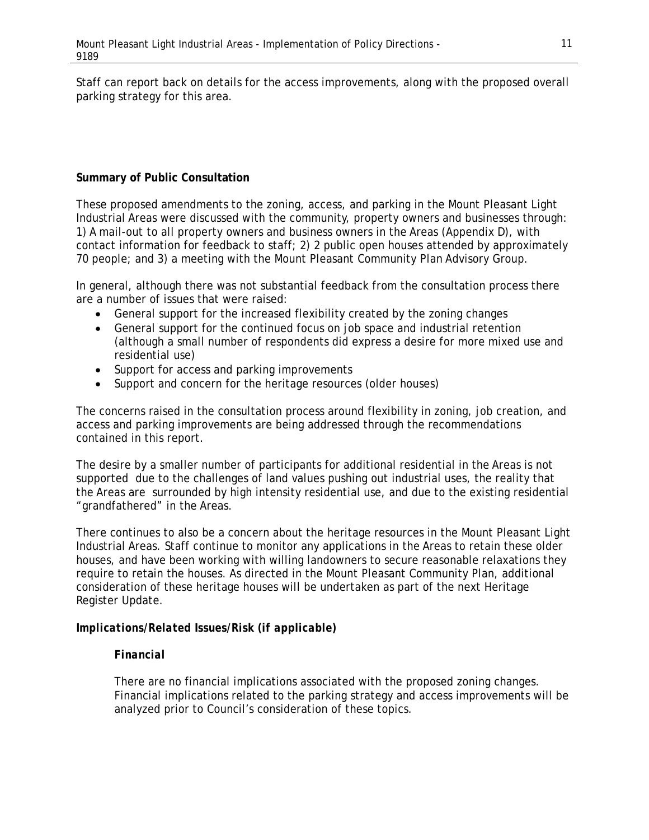Staff can report back on details for the access improvements, along with the proposed overall parking strategy for this area.

# **Summary of Public Consultation**

These proposed amendments to the zoning, access, and parking in the Mount Pleasant Light Industrial Areas were discussed with the community, property owners and businesses through: 1) A mail-out to all property owners and business owners in the Areas (Appendix D), with contact information for feedback to staff; 2) 2 public open houses attended by approximately 70 people; and 3) a meeting with the Mount Pleasant Community Plan Advisory Group.

In general, although there was not substantial feedback from the consultation process there are a number of issues that were raised:

- General support for the increased flexibility created by the zoning changes
- General support for the continued focus on job space and industrial retention (although a small number of respondents did express a desire for more mixed use and residential use)
- Support for access and parking improvements
- Support and concern for the heritage resources (older houses)

The concerns raised in the consultation process around flexibility in zoning, job creation, and access and parking improvements are being addressed through the recommendations contained in this report.

The desire by a smaller number of participants for additional residential in the Areas is not supported due to the challenges of land values pushing out industrial uses, the reality that the Areas are surrounded by high intensity residential use, and due to the existing residential "grandfathered" in the Areas.

There continues to also be a concern about the heritage resources in the Mount Pleasant Light Industrial Areas. Staff continue to monitor any applications in the Areas to retain these older houses, and have been working with willing landowners to secure reasonable relaxations they require to retain the houses. As directed in the Mount Pleasant Community Plan, additional consideration of these heritage houses will be undertaken as part of the next Heritage Register Update.

# *Implications/Related Issues/Risk (if applicable)*

#### *Financial*

There are no financial implications associated with the proposed zoning changes. Financial implications related to the parking strategy and access improvements will be analyzed prior to Council's consideration of these topics.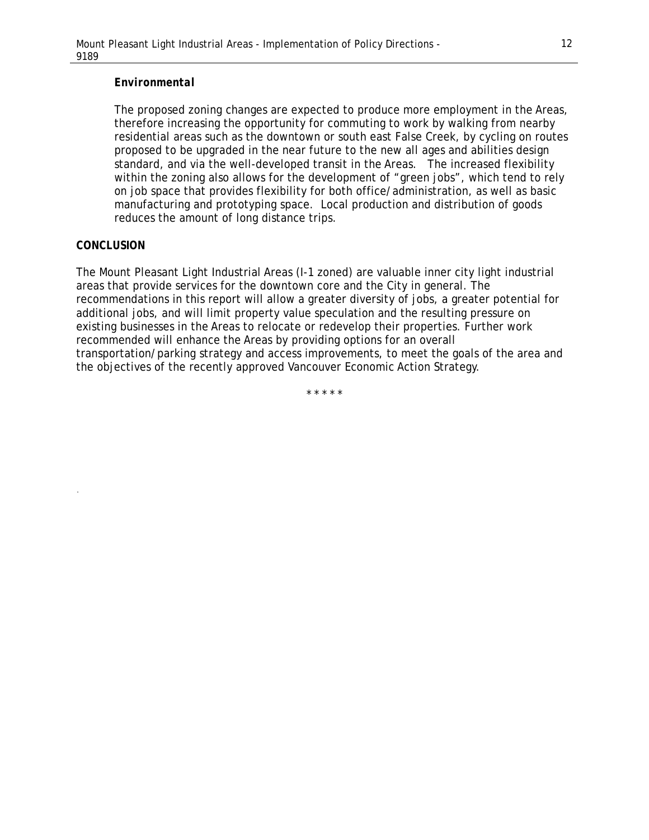#### *Environmental*

The proposed zoning changes are expected to produce more employment in the Areas, therefore increasing the opportunity for commuting to work by walking from nearby residential areas such as the downtown or south east False Creek, by cycling on routes proposed to be upgraded in the near future to the new all ages and abilities design standard, and via the well-developed transit in the Areas. The increased flexibility within the zoning also allows for the development of "green jobs", which tend to rely on job space that provides flexibility for both office/administration, as well as basic manufacturing and prototyping space. Local production and distribution of goods reduces the amount of long distance trips.

#### *CONCLUSION*

.

The Mount Pleasant Light Industrial Areas (I-1 zoned) are valuable inner city light industrial areas that provide services for the downtown core and the City in general. The recommendations in this report will allow a greater diversity of jobs, a greater potential for additional jobs, and will limit property value speculation and the resulting pressure on existing businesses in the Areas to relocate or redevelop their properties. Further work recommended will enhance the Areas by providing options for an overall transportation/parking strategy and access improvements, to meet the goals of the area and the objectives of the recently approved Vancouver Economic Action Strategy.

\* \* \* \* \*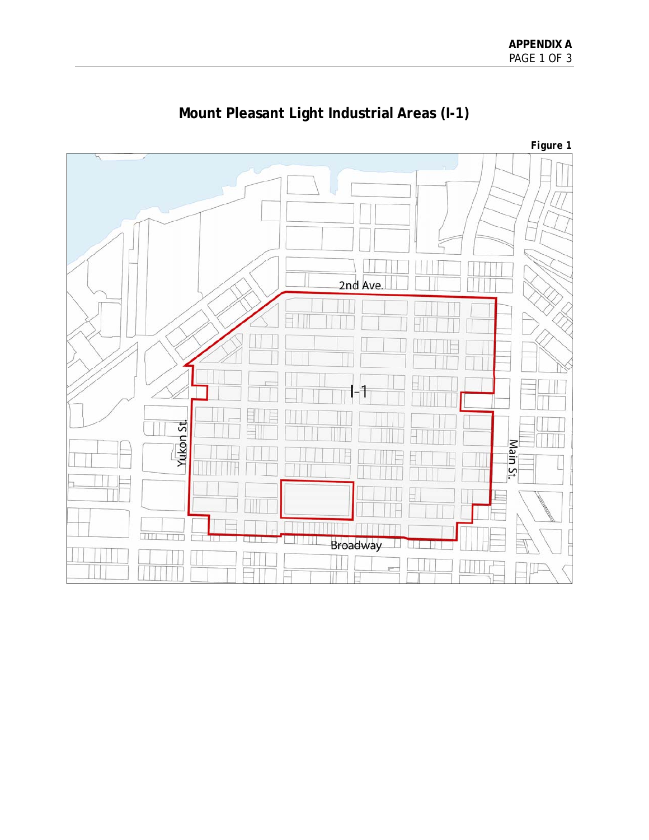

# **Mount Pleasant Light Industrial Areas (I-1)**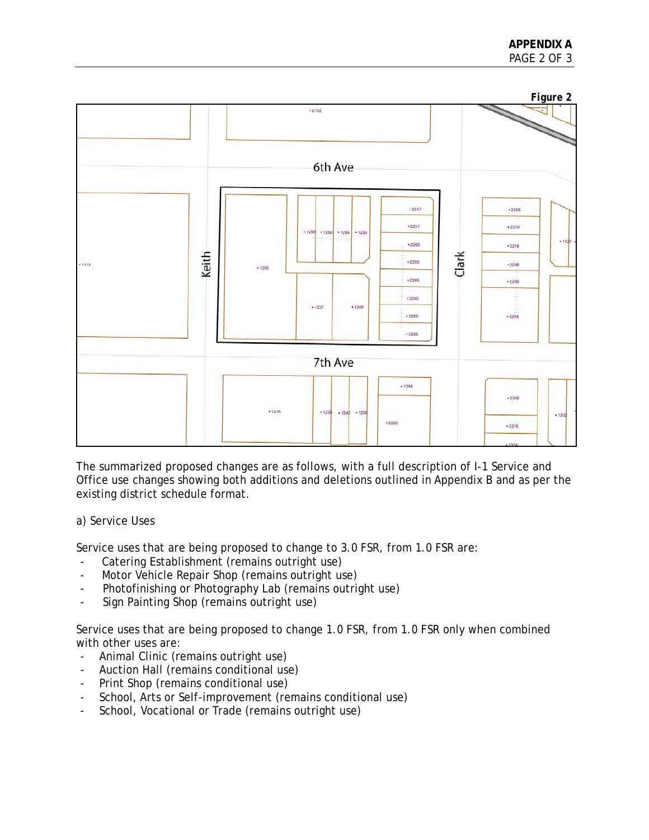

The summarized proposed changes are as follows, with a full description of I-1 Service and Office use changes showing both additions and deletions outlined in Appendix B and as per the existing district schedule format.

# a) Service Uses

Service uses that are being proposed to change to 3.0 FSR, from 1.0 FSR are:

- Catering Establishment (remains outright use)
- Motor Vehicle Repair Shop (remains outright use)
- Photofinishing or Photography Lab (remains outright use)
- Sign Painting Shop (remains outright use)

Service uses that are being proposed to change 1.0 FSR, from 1.0 FSR only when combined with other uses are:

- Animal Clinic (remains outright use)
- Auction Hall (remains conditional use)
- Print Shop (remains conditional use)
- School, Arts or Self-improvement (remains conditional use)
- School, Vocational or Trade (remains outright use)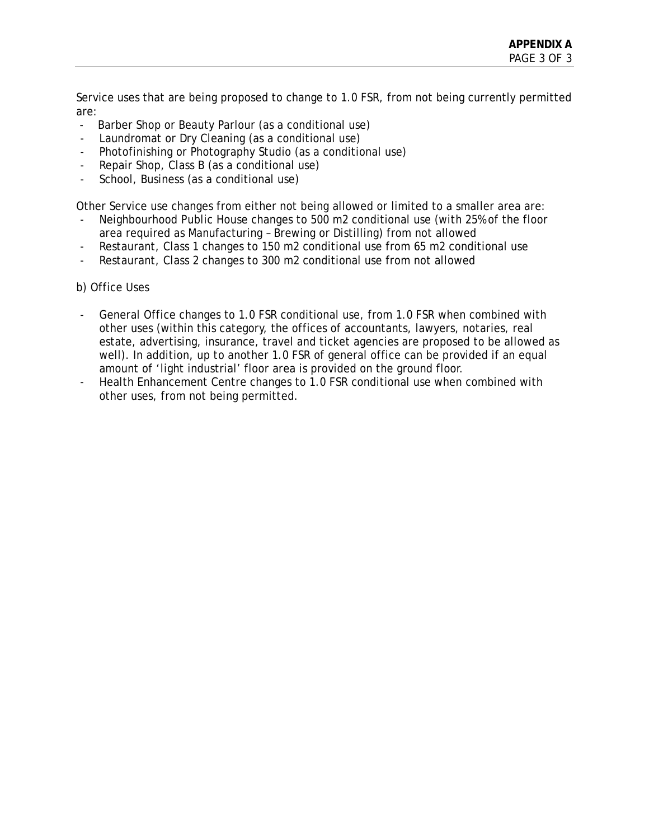Service uses that are being proposed to change to 1.0 FSR, from not being currently permitted are:

- Barber Shop or Beauty Parlour (as a conditional use)
- Laundromat or Dry Cleaning (as a conditional use)
- Photofinishing or Photography Studio (as a conditional use)
- Repair Shop, Class B (as a conditional use)
- School, Business (as a conditional use)

Other Service use changes from either not being allowed or limited to a smaller area are:

- Neighbourhood Public House changes to 500 m2 conditional use (with 25% of the floor area required as Manufacturing – Brewing or Distilling) from not allowed
- Restaurant, Class 1 changes to 150 m2 conditional use from 65 m2 conditional use
- Restaurant, Class 2 changes to 300 m2 conditional use from not allowed
- b) Office Uses
- General Office changes to 1.0 FSR conditional use, from 1.0 FSR when combined with other uses (within this category, the offices of accountants, lawyers, notaries, real estate, advertising, insurance, travel and ticket agencies are proposed to be allowed as well). In addition, up to another 1.0 FSR of general office can be provided if an equal amount of 'light industrial' floor area is provided on the ground floor.
- Health Enhancement Centre changes to 1.0 FSR conditional use when combined with other uses, from not being permitted.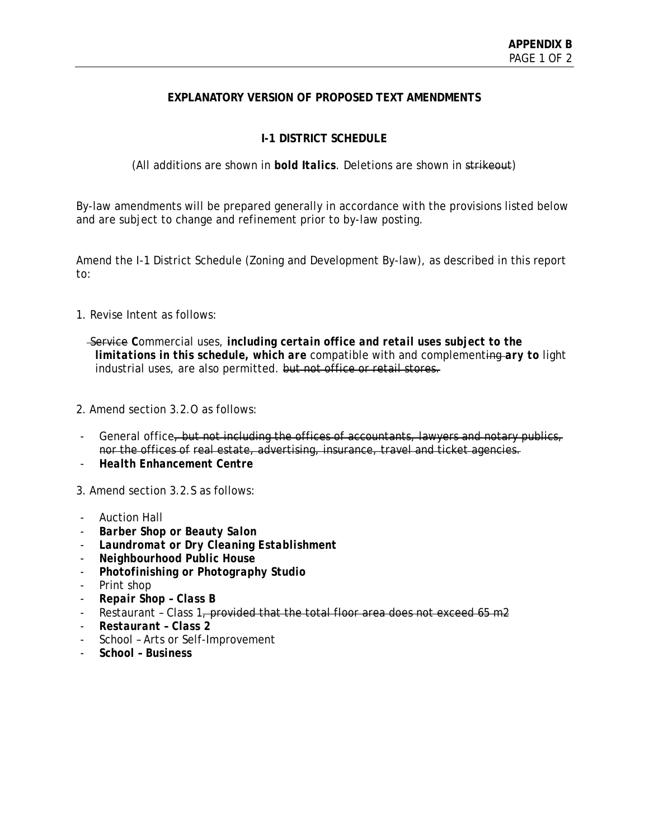# **EXPLANATORY VERSION OF PROPOSED TEXT AMENDMENTS**

# **I-1 DISTRICT SCHEDULE**

(All additions are shown in *bold Italics*. Deletions are shown in strikeout)

By-law amendments will be prepared generally in accordance with the provisions listed below and are subject to change and refinement prior to by-law posting.

Amend the I-1 District Schedule (Zoning and Development By-law), as described in this report to:

1. Revise Intent as follows:

 Service *C*ommercial uses, *including certain office and retail uses subject to the limitations in this schedule, which are* compatible with and complementing *ary to* light industrial uses, are also permitted. but not office or retail stores.

- 2. Amend section 3.2.O as follows:
- General office, but not including the offices of accountants, lawyers and notary publics, nor the offices of real estate, advertising, insurance, travel and ticket agencies.
- *Health Enhancement Centre*

3. Amend section 3.2.S as follows:

- Auction Hall
- *Barber Shop or Beauty Salon*
- *Laundromat or Dry Cleaning Establishment*
- *Neighbourhood Public House*
- *Photofinishing or Photography Studio*
- Print shop
- *Repair Shop Class B*
- Restaurant Class 1, provided that the total floor area does not exceed 65 m2
- *Restaurant Class 2*
- School Arts or Self-Improvement
- *School Business*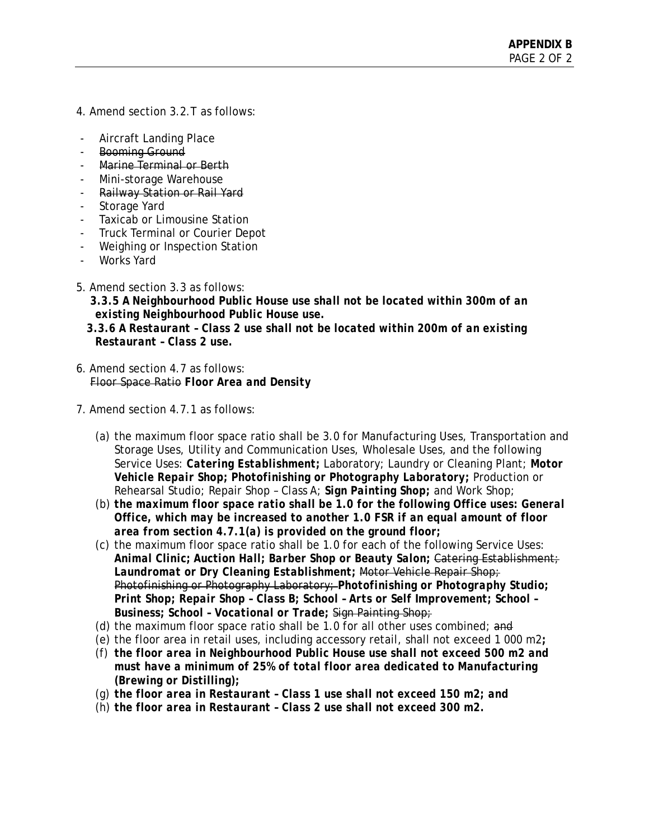- 4. Amend section 3.2.T as follows:
- Aircraft Landing Place
- Booming Ground
- Marine Terminal or Berth
- Mini-storage Warehouse
- Railway Station or Rail Yard
- Storage Yard
- Taxicab or Limousine Station
- Truck Terminal or Courier Depot
- Weighing or Inspection Station
- Works Yard
- 5. Amend section 3.3 as follows:

 *3.3.5 A Neighbourhood Public House use shall not be located within 300m of an existing Neighbourhood Public House use.* 

- *3.3.6 A Restaurant Class 2 use shall not be located within 200m of an existing Restaurant – Class 2 use.*
- 6. Amend section 4.7 as follows: Floor Space Ratio *Floor Area and Density*
- 7. Amend section 4.7.1 as follows:
	- (a) the maximum floor space ratio shall be 3.0 for Manufacturing Uses, Transportation and Storage Uses, Utility and Communication Uses, Wholesale Uses, and the following Service Uses: *Catering Establishment;* Laboratory; Laundry or Cleaning Plant; *Motor Vehicle Repair Shop; Photofinishing or Photography Laboratory;* Production or Rehearsal Studio; Repair Shop – Class A; *Sign Painting Shop;* and Work Shop;
	- (b) *the maximum floor space ratio shall be 1.0 for the following Office uses: General Office, which may be increased to another 1.0 FSR if an equal amount of floor area from section 4.7.1(a) is provided on the ground floor;*
	- (c) the maximum floor space ratio shall be 1.0 for each of the following Service Uses: *Animal Clinic; Auction Hall; Barber Shop or Beauty Salon;* Catering Establishment; *Laundromat or Dry Cleaning Establishment;* Motor Vehicle Repair Shop; Photofinishing or Photography Laboratory; *Photofinishing or Photography Studio; Print Shop; Repair Shop – Class B; School – Arts or Self Improvement; School – Business; School – Vocational or Trade;* Sign Painting Shop;
	- (d) the maximum floor space ratio shall be 1.0 for all other uses combined; and
	- (e) the floor area in retail uses, including accessory retail, shall not exceed 1 000 m2*;*
	- (f) *the floor area in Neighbourhood Public House use shall not exceed 500 m2 and must have a minimum of 25% of total floor area dedicated to Manufacturing (Brewing or Distilling);*
	- (g) *the floor area in Restaurant Class 1 use shall not exceed 150 m2; and*
	- (h) *the floor area in Restaurant Class 2 use shall not exceed 300 m2.*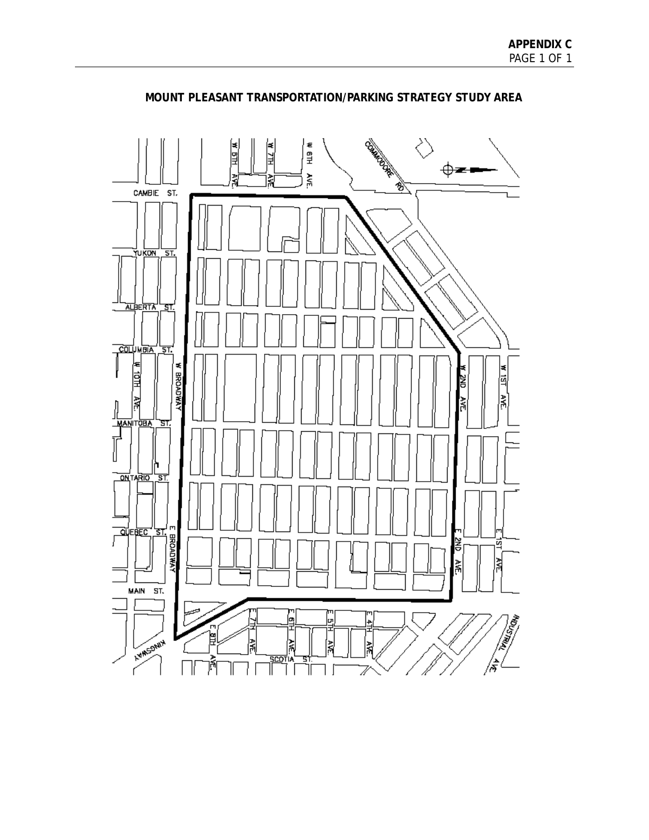

# **MOUNT PLEASANT TRANSPORTATION/PARKING STRATEGY STUDY AREA**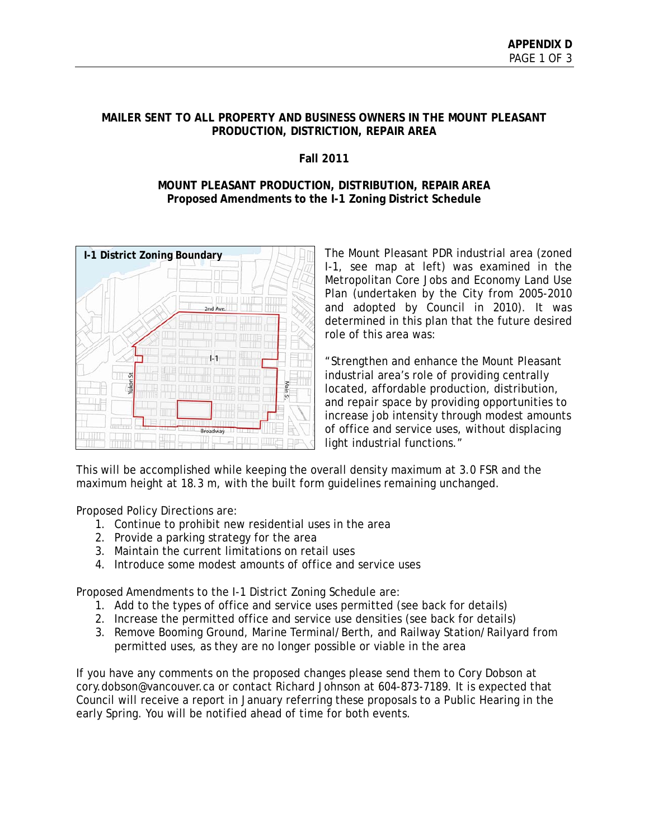# **MAILER SENT TO ALL PROPERTY AND BUSINESS OWNERS IN THE MOUNT PLEASANT PRODUCTION, DISTRICTION, REPAIR AREA**

# **Fall 2011**

#### **MOUNT PLEASANT PRODUCTION, DISTRIBUTION, REPAIR AREA Proposed Amendments to the I-1 Zoning District Schedule**



The Mount Pleasant PDR industrial area (zoned I-1, see map at left) was examined in the Metropolitan Core Jobs and Economy Land Use Plan (undertaken by the City from 2005-2010 and adopted by Council in 2010). It was determined in this plan that the future desired role of this area was:

"Strengthen and enhance the Mount Pleasant industrial area's role of providing centrally located, affordable production, distribution, and repair space by providing opportunities to increase job intensity through modest amounts of office and service uses, without displacing light industrial functions."

This will be accomplished while keeping the overall density maximum at 3.0 FSR and the maximum height at 18.3 m, with the built form guidelines remaining unchanged.

Proposed Policy Directions are:

- 1. Continue to prohibit new residential uses in the area
- 2. Provide a parking strategy for the area
- 3. Maintain the current limitations on retail uses
- 4. Introduce some modest amounts of office and service uses

Proposed Amendments to the I-1 District Zoning Schedule are:

- 1. Add to the types of office and service uses permitted (see back for details)
- 2. Increase the permitted office and service use densities (see back for details)
- 3. Remove Booming Ground, Marine Terminal/Berth, and Railway Station/Railyard from permitted uses, as they are no longer possible or viable in the area

If you have any comments on the proposed changes please send them to Cory Dobson at cory.dobson@vancouver.ca or contact Richard Johnson at 604-873-7189. It is expected that Council will receive a report in January referring these proposals to a Public Hearing in the early Spring. You will be notified ahead of time for both events.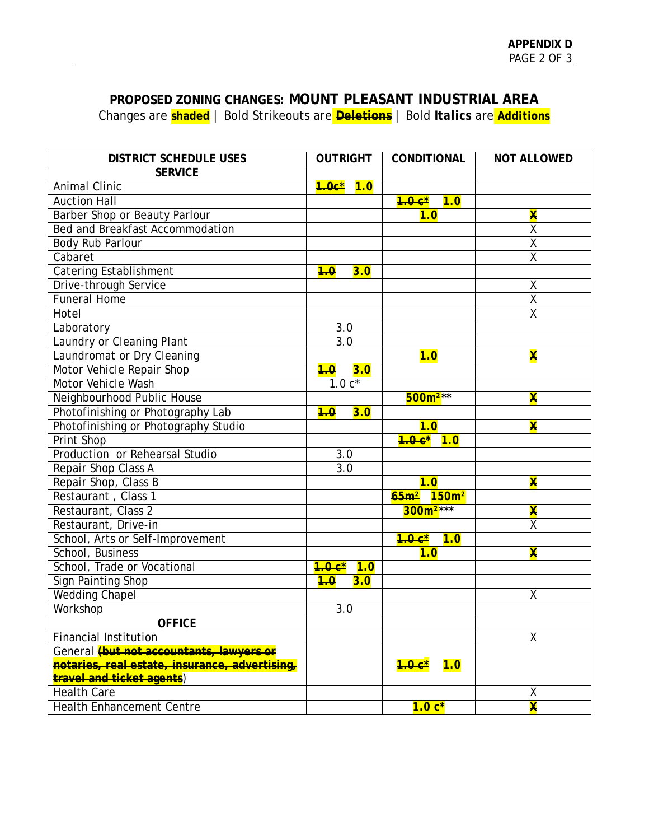# **PROPOSED ZONING CHANGES: MOUNT PLEASANT INDUSTRIAL AREA** Changes are **shaded** | Bold Strikeouts are **Deletions** | Bold *Italics* are *Additions*

| <b>DISTRICT SCHEDULE USES</b>                   | <b>OUTRIGHT</b>                | <b>CONDITIONAL</b>                    | <b>NOT ALLOWED</b>      |
|-------------------------------------------------|--------------------------------|---------------------------------------|-------------------------|
| <b>SERVICE</b>                                  |                                |                                       |                         |
| <b>Animal Clinic</b>                            | <mark>1.0c*</mark> 1 <i>.0</i> |                                       |                         |
| <b>Auction Hall</b>                             |                                | $4.0 c^*$<br>7.0                      |                         |
| Barber Shop or Beauty Parlour                   |                                | 1.0                                   | $\overline{\textbf{x}}$ |
| Bed and Breakfast Accommodation                 |                                |                                       | $\overline{\mathsf{x}}$ |
| Body Rub Parlour                                |                                |                                       | $\overline{X}$          |
| Cabaret                                         |                                |                                       | $\overline{\mathsf{x}}$ |
| Catering Establishment                          | 3.0<br>4.0                     |                                       |                         |
| Drive-through Service                           |                                |                                       | Χ                       |
| <b>Funeral Home</b>                             |                                |                                       | $\overline{\mathsf{x}}$ |
| Hotel                                           |                                |                                       | $\overline{\mathsf{x}}$ |
| Laboratory                                      | $\overline{3.0}$               |                                       |                         |
| Laundry or Cleaning Plant                       | $\overline{3.0}$               |                                       |                         |
| Laundromat or Dry Cleaning                      |                                | 1.0                                   | $\overline{\textbf{X}}$ |
| Motor Vehicle Repair Shop                       | 3.0<br>4.0                     |                                       |                         |
| Motor Vehicle Wash                              | $1.0c*$                        |                                       |                         |
| Neighbourhood Public House                      |                                | $500m^{2**}$                          | $\overline{\textbf{x}}$ |
| Photofinishing or Photography Lab               | 3.0<br>4.0                     |                                       |                         |
| Photofinishing or Photography Studio            |                                | 1.0                                   | $\overline{\textbf{x}}$ |
| Print Shop                                      |                                | $7.0c$ <sup>*</sup> $1.0$             |                         |
| Production or Rehearsal Studio                  | 3.0                            |                                       |                         |
| Repair Shop Class A                             | 3.0                            |                                       |                         |
| Repair Shop, Class B                            |                                | 1.0                                   | $\overline{\textbf{x}}$ |
| Restaurant, Class 1                             |                                | 65 <sub>m²</sub><br>150m <sup>2</sup> |                         |
| Restaurant, Class 2                             |                                | $300m^{2***}$                         | X                       |
| Restaurant, Drive-in                            |                                |                                       | $\overline{\mathsf{x}}$ |
| School, Arts or Self-Improvement                |                                | $4.0 c^*$<br>1.0                      |                         |
| School, Business                                |                                | 1.0                                   | $\overline{\textbf{x}}$ |
| School, Trade or Vocational                     | 1.0 c*<br>1.0                  |                                       |                         |
| <b>Sign Painting Shop</b>                       | 3.0<br>4.0                     |                                       |                         |
| <b>Wedding Chapel</b>                           |                                |                                       | $\overline{\mathsf{X}}$ |
| Workshop                                        | 3.0                            |                                       |                         |
| <b>OFFICE</b>                                   |                                |                                       |                         |
| <b>Financial Institution</b>                    |                                |                                       | $\overline{\mathsf{X}}$ |
| General <i>(but not accountants, lawyers or</i> |                                |                                       |                         |
| notaries, real estate, insurance, advertising,  |                                | 1.0<br><u> 1.0 с*</u>                 |                         |
| travel and ticket agents)                       |                                |                                       |                         |
| <b>Health Care</b>                              |                                |                                       | χ                       |
| <b>Health Enhancement Centre</b>                |                                | $1.0c*$                               | $\overline{\textbf{x}}$ |